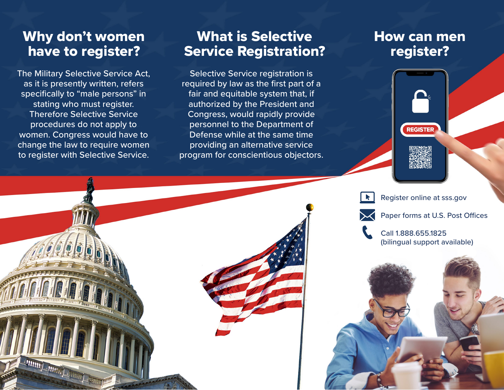### Why don't women have to register?

The Military Selective Service Act, as it is presently written, refers specifically to "male persons" in stating who must register. Therefore Selective Service procedures do not apply to women. Congress would have to change the law to require women to register with Selective Service.

**TITUL APPEL APPEL** 

## What is Selective Service Registration?

Selective Service registration is required by law as the first part of a fair and equitable system that, if authorized by the President and Congress, would rapidly provide personnel to the Department of Defense while at the same time providing an alternative service program for conscientious objectors.

### How can men register?



Register online at sss.gov



Paper forms at U.S. Post Offices